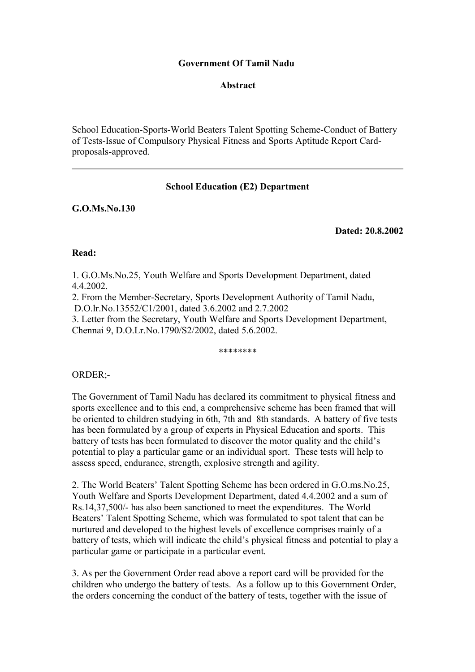# **Government Of Tamil Nadu**

## **Abstract**

School Education-Sports-World Beaters Talent Spotting Scheme-Conduct of Battery of Tests-Issue of Compulsory Physical Fitness and Sports Aptitude Report Cardproposals-approved.

# **School Education (E2) Department**

**G.O.Ms.No.130**

#### **Dated: 20.8.2002**

#### **Read:**

1. G.O.Ms.No.25, Youth Welfare and Sports Development Department, dated 4.4.2002.

2. From the Member-Secretary, Sports Development Authority of Tamil Nadu, D.O.lr.No.13552/C1/2001, dated 3.6.2002 and 2.7.2002

3. Letter from the Secretary, Youth Welfare and Sports Development Department, Chennai 9, D.O.Lr.No.1790/S2/2002, dated 5.6.2002.

\*\*\*\*\*\*\*\*

## ORDER;-

The Government of Tamil Nadu has declared its commitment to physical fitness and sports excellence and to this end, a comprehensive scheme has been framed that will be oriented to children studying in 6th, 7th and 8th standards. A battery of five tests has been formulated by a group of experts in Physical Education and sports. This battery of tests has been formulated to discover the motor quality and the child's potential to play a particular game or an individual sport. These tests will help to assess speed, endurance, strength, explosive strength and agility.

2. The World Beaters' Talent Spotting Scheme has been ordered in G.O.ms.No.25, Youth Welfare and Sports Development Department, dated 4.4.2002 and a sum of Rs.14,37,500/- has also been sanctioned to meet the expenditures. The World Beaters' Talent Spotting Scheme, which was formulated to spot talent that can be nurtured and developed to the highest levels of excellence comprises mainly of a battery of tests, which will indicate the child's physical fitness and potential to play a particular game or participate in a particular event.

3. As per the Government Order read above a report card will be provided for the children who undergo the battery of tests. As a follow up to this Government Order, the orders concerning the conduct of the battery of tests, together with the issue of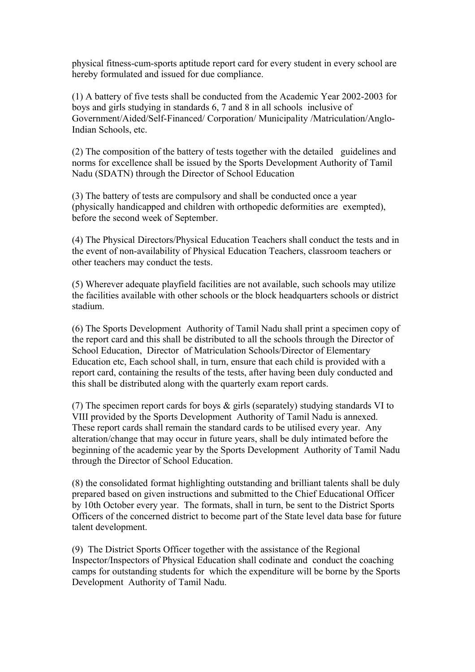physical fitness-cum-sports aptitude report card for every student in every school are hereby formulated and issued for due compliance.

(1) A battery of five tests shall be conducted from the Academic Year 2002-2003 for boys and girls studying in standards 6, 7 and 8 in all schools inclusive of Government/Aided/Self-Financed/ Corporation/ Municipality /Matriculation/Anglo-Indian Schools, etc.

(2) The composition of the battery of tests together with the detailed guidelines and norms for excellence shall be issued by the Sports Development Authority of Tamil Nadu (SDATN) through the Director of School Education

(3) The battery of tests are compulsory and shall be conducted once a year (physically handicapped and children with orthopedic deformities are exempted), before the second week of September.

(4) The Physical Directors/Physical Education Teachers shall conduct the tests and in the event of non-availability of Physical Education Teachers, classroom teachers or other teachers may conduct the tests.

(5) Wherever adequate playfield facilities are not available, such schools may utilize the facilities available with other schools or the block headquarters schools or district stadium.

(6) The Sports Development Authority of Tamil Nadu shall print a specimen copy of the report card and this shall be distributed to all the schools through the Director of School Education, Director of Matriculation Schools/Director of Elementary Education etc, Each school shall, in turn, ensure that each child is provided with a report card, containing the results of the tests, after having been duly conducted and this shall be distributed along with the quarterly exam report cards.

(7) The specimen report cards for boys & girls (separately) studying standards VI to VIII provided by the Sports Development Authority of Tamil Nadu is annexed. These report cards shall remain the standard cards to be utilised every year. Any alteration/change that may occur in future years, shall be duly intimated before the beginning of the academic year by the Sports Development Authority of Tamil Nadu through the Director of School Education.

(8) the consolidated format highlighting outstanding and brilliant talents shall be duly prepared based on given instructions and submitted to the Chief Educational Officer by 10th October every year. The formats, shall in turn, be sent to the District Sports Officers of the concerned district to become part of the State level data base for future talent development.

(9) The District Sports Officer together with the assistance of the Regional Inspector/Inspectors of Physical Education shall codinate and conduct the coaching camps for outstanding students for which the expenditure will be borne by the Sports Development Authority of Tamil Nadu.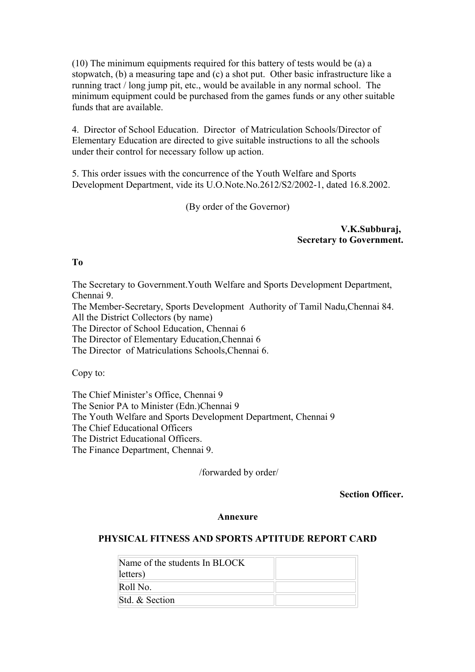(10) The minimum equipments required for this battery of tests would be (a) a stopwatch, (b) a measuring tape and (c) a shot put. Other basic infrastructure like a running tract / long jump pit, etc., would be available in any normal school. The minimum equipment could be purchased from the games funds or any other suitable funds that are available.

4. Director of School Education. Director of Matriculation Schools/Director of Elementary Education are directed to give suitable instructions to all the schools under their control for necessary follow up action.

5. This order issues with the concurrence of the Youth Welfare and Sports Development Department, vide its U.O.Note.No.2612/S2/2002-1, dated 16.8.2002.

(By order of the Governor)

## **V.K.Subburaj, Secretary to Government.**

**To**

The Secretary to Government.Youth Welfare and Sports Development Department, Chennai 9. The Member-Secretary, Sports Development Authority of Tamil Nadu,Chennai 84. All the District Collectors (by name) The Director of School Education, Chennai 6 The Director of Elementary Education,Chennai 6 The Director of Matriculations Schools,Chennai 6.

Copy to:

The Chief Minister's Office, Chennai 9 The Senior PA to Minister (Edn.)Chennai 9 The Youth Welfare and Sports Development Department, Chennai 9 The Chief Educational Officers The District Educational Officers. The Finance Department, Chennai 9.

/forwarded by order/

**Section Officer.**

#### **Annexure**

## **PHYSICAL FITNESS AND SPORTS APTITUDE REPORT CARD**

| Name of the students In BLOCK<br>letters) |  |
|-------------------------------------------|--|
| Roll No.                                  |  |
| Std. & Section                            |  |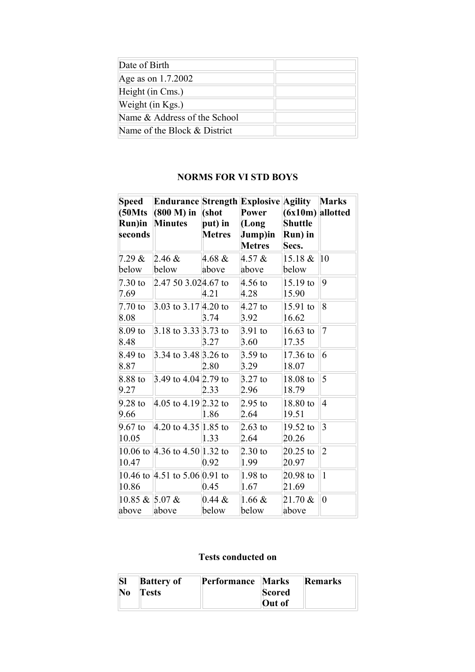| Date of Birth                |  |
|------------------------------|--|
| Age as on 1.7.2002           |  |
| Height (in Cms.)             |  |
| Weight (in Kgs.)             |  |
| Name & Address of the School |  |
| Name of the Block & District |  |

# **NORMS FOR VI STD BOYS**

| <b>Speed</b><br>(50Mts<br>Run)in<br>seconds | <b>Endurance Strength Explosive Agility</b><br>$(800 M)$ in<br><b>Minutes</b> | (shot<br>put) in<br><b>Metres</b> | Power<br>(Long<br>Jump)in<br><b>Metres</b> | $(6x10m)$ allotted<br><b>Shuttle</b><br>Run) in<br>Secs. | <b>Marks</b>   |
|---------------------------------------------|-------------------------------------------------------------------------------|-----------------------------------|--------------------------------------------|----------------------------------------------------------|----------------|
| 7.29 &                                      | $2.46 \&$                                                                     | 4.68 &                            | $4.57 \&$                                  | $15.18 \&$                                               | 10             |
| below                                       | below                                                                         | above                             | above                                      | below                                                    |                |
| $7.30$ to<br>7.69                           | 2.47 50 3.024.67 to                                                           | 4.21                              | $4.56$ to<br>4.28                          | $15.19$ to<br>15.90                                      | 9              |
| $7.70$ to<br>8.08                           | 3.03 to $3.17 4.20$ to                                                        | 3.74                              | $4.27$ to<br>3.92                          | 15.91 to<br>16.62                                        | 8              |
| $8.09$ to<br>8.48                           | 3.18 to $3.33 3.73$ to                                                        | 3.27                              | $3.91$ to<br>3.60                          | $16.63$ to<br>17.35                                      | $\overline{7}$ |
| 8.49 to<br>8.87                             | 3.34 to $3.48 3.26$ to                                                        | 2.80                              | $3.59$ to<br>3.29                          | 17.36 to<br>18.07                                        | 6              |
| 8.88 to<br>9.27                             | 3.49 to $4.04 2.79$ to                                                        | 2.33                              | $3.27$ to<br>2.96                          | 18.08 to<br>18.79                                        | 5              |
| $9.28$ to<br>9.66                           | 4.05 to $4.19 2.32$ to                                                        | 1.86                              | $2.95$ to<br>2.64                          | 18.80 to<br>19.51                                        | $\overline{4}$ |
| $9.67$ to<br>10.05                          | 4.20 to $4.35 1.85$ to                                                        | 1.33                              | 2.63 to<br>2.64                            | 19.52 to<br>20.26                                        | 3              |
| 10.47                                       | 10.06 to 4.36 to 4.50 1.32 to                                                 | 0.92                              | $2.30$ to<br>1.99                          | $20.25$ to<br>20.97                                      | $\overline{2}$ |
| 10.86                                       | 10.46 to 4.51 to 5.06 0.91 to                                                 | 0.45                              | $1.98$ to<br>1.67                          | $20.98$ to<br>21.69                                      | $\mathbf{1}$   |
| 10.85 & 5.07 &<br>above                     | above                                                                         | $0.44 \&$<br>below                | 1.66 &<br>below                            | $21.70 \&$<br>above                                      | $\overline{0}$ |

# **Tests conducted on**

|    | <b>Battery of</b> | Performance Marks |        | Remarks |
|----|-------------------|-------------------|--------|---------|
| No | <b>Tests</b>      |                   | Scored |         |
|    |                   |                   | Out of |         |